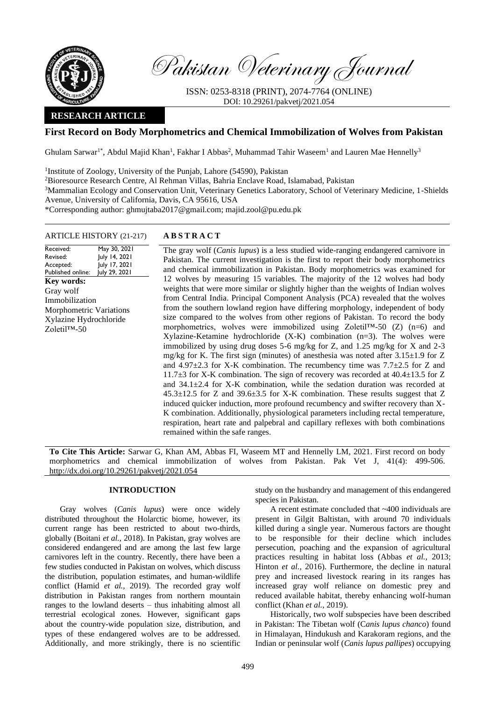

Pakistan Veterinary Journal

ISSN: 0253-8318 (PRINT), 2074-7764 (ONLINE) DOI: 10.29261/pakvetj/2021.054

# **RESEARCH ARTICLE**

# **First Record on Body Morphometrics and Chemical Immobilization of Wolves from Pakistan**

Ghulam Sarwar<sup>1\*</sup>, Abdul Majid Khan<sup>1</sup>, Fakhar I Abbas<sup>2</sup>, Muhammad Tahir Waseem<sup>1</sup> and Lauren Mae Hennelly<sup>3</sup>

<sup>1</sup>Institute of Zoology, University of the Punjab, Lahore (54590), Pakistan

<sup>2</sup>Bioresource Research Centre, Al Rehman Villas, Bahria Enclave Road, Islamabad, Pakistan

<sup>3</sup>Mammalian Ecology and Conservation Unit, Veterinary Genetics Laboratory, School of Veterinary Medicine, 1-Shields Avenue, University of California, Davis, CA 95616, USA

\*Corresponding author: ghmujtaba2017@gmail.com; majid.zool@pu.edu.pk

## ARTICLE HISTORY (21-217) **A B S T R A C T**

Received: Revised: Accepted: Published online: May 30, 2021 July 14, 2021 July 17, 2021 July 29, 2021 **Key words:**  Gray wolf Immobilization Morphometric Variations Xylazine Hydrochloride Zoletil™-50

The gray wolf (*Canis lupus*) is a less studied wide-ranging endangered carnivore in Pakistan. The current investigation is the first to report their body morphometrics and chemical immobilization in Pakistan. Body morphometrics was examined for 12 wolves by measuring 15 variables. The majority of the 12 wolves had body weights that were more similar or slightly higher than the weights of Indian wolves from Central India. Principal Component Analysis (PCA) revealed that the wolves from the southern lowland region have differing morphology, independent of body size compared to the wolves from other regions of Pakistan. To record the body morphometrics, wolves were immobilized using Zoletil™-50 (Z) (n=6) and Xylazine-Ketamine hydrochloride (X-K) combination (n=3). The wolves were immobilized by using drug doses 5-6 mg/kg for Z, and 1.25 mg/kg for X and 2-3 mg/kg for K. The first sign (minutes) of anesthesia was noted after  $3.15\pm1.9$  for Z and  $4.97\pm2.3$  for X-K combination. The recumbency time was  $7.7\pm2.5$  for Z and 11.7±3 for X-K combination. The sign of recovery was recorded at 40.4±13.5 for Z and 34.1±2.4 for X-K combination, while the sedation duration was recorded at 45.3±12.5 for Z and 39.6±3.5 for X-K combination. These results suggest that Z induced quicker induction, more profound recumbency and swifter recovery than X-K combination. Additionally, physiological parameters including rectal temperature, respiration, heart rate and palpebral and capillary reflexes with both combinations remained within the safe ranges.

**To Cite This Article:** Sarwar G, Khan AM, Abbas FI, Waseem MT and Hennelly LM, 2021. First record on body morphometrics and chemical immobilization of wolves from Pakistan. Pak Vet J, 41(4): 499-506. [http://dx.doi.org/10.29261/pakvetj/2021.054](http://pvj.com.pk/pdf-files/41_4/499-506.pdf)

## **INTRODUCTION**

Gray wolves (*Canis lupus*) were once widely distributed throughout the Holarctic biome, however, its current range has been restricted to about two-thirds, globally (Boitani *et al.,* 2018). In Pakistan, gray wolves are considered endangered and are among the last few large carnivores left in the country. Recently, there have been a few studies conducted in Pakistan on wolves, which discuss the distribution, population estimates, and human-wildlife conflict (Hamid *et al.,* 2019). The recorded gray wolf distribution in Pakistan ranges from northern mountain ranges to the lowland deserts – thus inhabiting almost all terrestrial ecological zones. However, significant gaps about the country-wide population size, distribution, and types of these endangered wolves are to be addressed. Additionally, and more strikingly, there is no scientific

study on the husbandry and management of this endangered species in Pakistan.

A recent estimate concluded that ~400 individuals are present in Gilgit Baltistan, with around 70 individuals killed during a single year. Numerous factors are thought to be responsible for their decline which includes persecution, poaching and the expansion of agricultural practices resulting in habitat loss (Abbas *et al.,* 2013; Hinton *et al.,* 2016). Furthermore, the decline in natural prey and increased livestock rearing in its ranges has increased gray wolf reliance on domestic prey and reduced available habitat, thereby enhancing wolf-human conflict (Khan *et al.,* 2019).

Historically, two wolf subspecies have been described in Pakistan: The Tibetan wolf (C*anis lupus chanco*) found in Himalayan, Hindukush and Karakoram regions, and the Indian or peninsular wolf (*Canis lupus pallipes*) occupying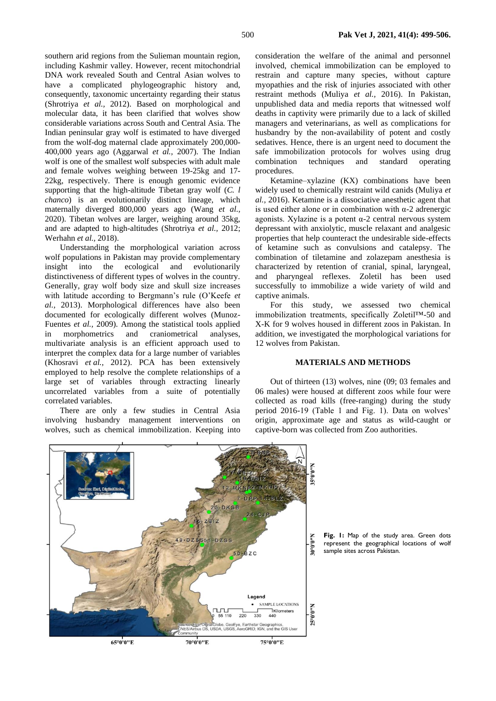southern arid regions from the Sulieman mountain region, including Kashmir valley. However, recent mitochondrial DNA work revealed South and Central Asian wolves to have a complicated phylogeographic history and, consequently, taxonomic uncertainty regarding their status (Shrotriya *et al.,* 2012). Based on morphological and molecular data, it has been clarified that wolves show considerable variations across South and Central Asia. The Indian peninsular gray wolf is estimated to have diverged from the wolf-dog maternal clade approximately 200,000- 400,000 years ago (Aggarwal *et al.,* 2007). The Indian wolf is one of the smallest wolf subspecies with adult male and female wolves weighing between 19-25kg and 17- 22kg, respectively. There is enough genomic evidence supporting that the high-altitude Tibetan gray wolf (*C. l chanco*) is an evolutionarily distinct lineage, which maternally diverged 800,000 years ago (Wang *et al.,*  2020). Tibetan wolves are larger, weighing around 35kg, and are adapted to high-altitudes (Shrotriya *et al.,* 2012; Werhahn *et al.,* 2018).

Understanding the morphological variation across wolf populations in Pakistan may provide complementary insight into the ecological and evolutionarily distinctiveness of different types of wolves in the country. Generally, gray wolf body size and skull size increases with latitude according to Bergmann's rule (O'Keefe *et al.,* 2013). Morphological differences have also been documented for ecologically different wolves (Munoz-Fuentes *et al.,* 2009). Among the statistical tools applied in morphometrics and craniometrical analyses, multivariate analysis is an efficient approach used to interpret the complex data for a large number of variables (Khosravi *et al.,* 2012). PCA has been extensively employed to help resolve the complete relationships of a large set of variables through extracting linearly uncorrelated variables from a suite of potentially correlated variables.

There are only a few studies in Central Asia involving husbandry management interventions on wolves, such as chemical immobilization. Keeping into

consideration the welfare of the animal and personnel involved, chemical immobilization can be employed to restrain and capture many species, without capture myopathies and the risk of injuries associated with other restraint methods (Muliya *et al.,* 2016). In Pakistan, unpublished data and media reports that witnessed wolf deaths in captivity were primarily due to a lack of skilled managers and veterinarians, as well as complications for husbandry by the non-availability of potent and costly sedatives. Hence, there is an urgent need to document the safe immobilization protocols for wolves using drug combination techniques and standard operating procedures.

Ketamine–xylazine (KX) combinations have been widely used to chemically restraint wild canids (Muliya *et al.,* 2016). Ketamine is a dissociative anesthetic agent that is used either alone or in combination with α-2 adrenergic agonists. Xylazine is a potent  $\alpha$ -2 central nervous system depressant with anxiolytic, muscle relaxant and analgesic properties that help counteract the undesirable side-effects of ketamine such as convulsions and catalepsy. The combination of tiletamine and zolazepam anesthesia is characterized by retention of cranial, spinal, laryngeal, and pharyngeal reflexes. Zoletil has been used successfully to immobilize a wide variety of wild and captive animals.

For this study, we assessed two chemical immobilization treatments, specifically Zoletil™-50 and X-K for 9 wolves housed in different zoos in Pakistan. In addition, we investigated the morphological variations for 12 wolves from Pakistan.

#### **MATERIALS AND METHODS**

Out of thirteen (13) wolves, nine (09; 03 females and 06 males) were housed at different zoos while four were collected as road kills (free-ranging) during the study period 2016-19 (Table 1 and Fig. 1). Data on wolves' origin, approximate age and status as wild-caught or captive-born was collected from Zoo authorities.



**Fig. 1:** Map of the study area. Green dots represent the geographical locations of wolf sample sites across Pakistan.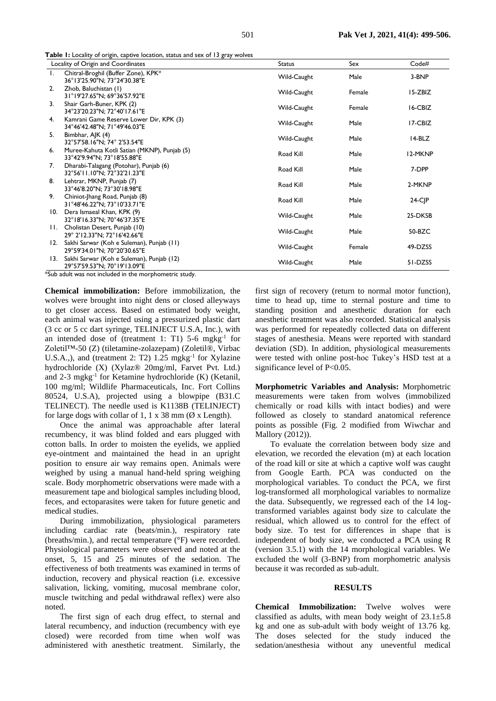| Locality of Origin and Coordinates |                                                                               | <b>Status</b> | Sex    | Code#      |
|------------------------------------|-------------------------------------------------------------------------------|---------------|--------|------------|
| $\mathbf{I}_{\mathbf{r}}$          | Chitral-Broghil (Buffer Zone), KPK*<br>36°13'25.90"N; 73°24'30.38"E           | Wild-Caught   | Male   | 3-BNP      |
| 2.                                 | Zhob, Baluchistan (1)<br>31°19'27.65"N; 69°36'57.92"E                         | Wild-Caught   | Female | I 5-ZBIZ   |
| 3.                                 | Shair Garh-Buner, KPK (2)<br>34°23'20.23"N; 72°40'17.61"E                     | Wild-Caught   | Female | 16-CBIZ    |
| 4.                                 | Kamrani Game Reserve Lower Dir, KPK (3)<br>34°46'42.48"N; 71°49'46.03"E       | Wild-Caught   | Male   | 17-CBIZ    |
| 5.                                 | Bimbhar, AJK (4)<br>32°57'58.16"N; 74° 2'53.54"E                              | Wild-Caught   | Male   | 14-BLZ     |
| 6.                                 | Muree-Kahuta Kotli Satian (MKNP), Punjab (5)<br>33°42'9.94"N; 73°18'55.88"E   | Road Kill     | Male   | 12-MKNP    |
| 7.                                 | Dharabi-Talagang (Potohar), Punjab (6)<br>32°56'11.10"N; 72°32'21.23"E        | Road Kill     | Male   | 7-DPP      |
| 8.                                 | Lehtrar, MKNP, Punjab (7)<br>33°46'8.20"N; 73°30'18.98"E                      | Road Kill     | Male   | 2-MKNP     |
| 9.                                 | Chiniot-Jhang Road, Punjab (8)<br>31°48'46.22"N; 73°10'33.71"E                | Road Kill     | Male   | $24-C$ $P$ |
|                                    | 10. Dera Ismaeal Khan, KPK (9)<br>32°18'16.33"N; 70°46'37.35"E                | Wild-Caught   | Male   | 25-DKSB    |
|                                    | 11. Cholistan Desert, Punjab (10)<br>29° 2'12.33"N; 72°16'42.66"E             | Wild-Caught   | Male   | 50-BZC     |
| 12.                                | Sakhi Sarwar (Koh e Suleman), Punjab (11)<br>29°59'34.01"N; 70°20'30.65"E     | Wild-Caught   | Female | 49-DZSS    |
|                                    | 13. Sakhi Sarwar (Koh e Suleman), Punjab (12)<br>29°57'59.53"N; 70°19'13.09"E | Wild-Caught   | Male   | 51-DZSS    |

**Table 1:** Locality of origin, captive location, status and sex of 13 gray wolves

\*Sub adult was not included in the morphometric study.

**Chemical immobilization:** Before immobilization, the wolves were brought into night dens or closed alleyways to get closer access. Based on estimated body weight, each animal was injected using a pressurized plastic dart (3 cc or 5 cc dart syringe, TELINJECT U.S.A, Inc.), with an intended dose of (treatment 1: T1) 5-6 mgkg-1 for Zoletil™-50 (Z) (tiletamine-zolazepam) (Zoletil®, Virbac U.S.A.,), and (treatment 2: T2) 1.25 mgkg<sup>-1</sup> for Xylazine hydrochloride (X) (Xylaz® 20mg/ml, Farvet Pvt. Ltd.) and 2-3 mgkg-1 for Ketamine hydrochloride (K) (Ketanil, 100 mg/ml; Wildlife Pharmaceuticals, Inc. Fort Collins 80524, U.S.A), projected using a blowpipe (B31.C TELINECT). The needle used is K1138B (TELINJECT) for large dogs with collar of 1, 1 x 38 mm ( $\emptyset$  x Length).

Once the animal was approachable after lateral recumbency, it was blind folded and ears plugged with cotton balls. In order to moisten the eyelids, we applied eye-ointment and maintained the head in an upright position to ensure air way remains open. Animals were weighed by using a manual hand-held spring weighing scale. Body morphometric observations were made with a measurement tape and biological samples including blood, feces, and ectoparasites were taken for future genetic and medical studies.

During immobilization, physiological parameters including cardiac rate (beats/min.), respiratory rate (breaths/min.), and rectal temperature (°F) were recorded. Physiological parameters were observed and noted at the onset, 5, 15 and 25 minutes of the sedation. The effectiveness of both treatments was examined in terms of induction, recovery and physical reaction (i.e. excessive salivation, licking, vomiting, mucosal membrane color, muscle twitching and pedal withdrawal reflex) were also noted.

The first sign of each drug effect, to sternal and lateral recumbency, and induction (recumbency with eye closed) were recorded from time when wolf was administered with anesthetic treatment. Similarly, the

first sign of recovery (return to normal motor function), time to head up, time to sternal posture and time to standing position and anesthetic duration for each anesthetic treatment was also recorded. Statistical analysis was performed for repeatedly collected data on different stages of anesthesia. Means were reported with standard deviation (SD). In addition, physiological measurements were tested with online post-hoc Tukey's HSD test at a significance level of P<0.05.

**Morphometric Variables and Analysis:** Morphometric measurements were taken from wolves (immobilized chemically or road kills with intact bodies) and were followed as closely to standard anatomical reference points as possible (Fig. 2 modified from Wiwchar and Mallory (2012)).

To evaluate the correlation between body size and elevation, we recorded the elevation (m) at each location of the road kill or site at which a captive wolf was caught from Google Earth. PCA was conducted on the morphological variables. To conduct the PCA, we first log-transformed all morphological variables to normalize the data. Subsequently, we regressed each of the 14 logtransformed variables against body size to calculate the residual, which allowed us to control for the effect of body size. To test for differences in shape that is independent of body size, we conducted a PCA using R (version 3.5.1) with the 14 morphological variables. We excluded the wolf (3-BNP) from morphometric analysis because it was recorded as sub-adult.

## **RESULTS**

**Chemical Immobilization:** Twelve wolves were classified as adults, with mean body weight of  $23.1\pm5.8$ kg and one as sub-adult with body weight of 13.76 kg. The doses selected for the study induced the sedation/anesthesia without any uneventful medical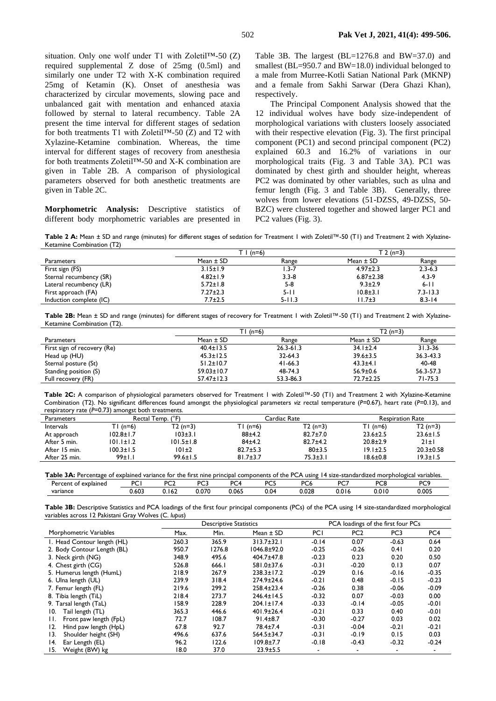situation. Only one wolf under  $T1$  with Zoletil<sup>TM</sup>-50 (Z) required supplemental Z dose of 25mg (0.5ml) and similarly one under T2 with X-K combination required 25mg of Ketamin (K). Onset of anesthesia was characterized by circular movements, slowing pace and unbalanced gait with mentation and enhanced ataxia followed by sternal to lateral recumbency. Table 2A present the time interval for different stages of sedation for both treatments T1 with Zoletil™-50 (Z) and T2 with Xylazine-Ketamine combination. Whereas, the time interval for different stages of recovery from anesthesia for both treatments Zoletil™-50 and X-K combination are given in Table 2B. A comparison of physiological parameters observed for both anesthetic treatments are given in Table 2C.

**Morphometric Analysis:** Descriptive statistics of different body morphometric variables are presented in Table 3B. The largest (BL=1276.8 and BW=37.0) and smallest (BL=950.7 and BW=18.0) individual belonged to a male from Murree-Kotli Satian National Park (MKNP) and a female from Sakhi Sarwar (Dera Ghazi Khan), respectively.

The Principal Component Analysis showed that the 12 individual wolves have body size-independent of morphological variations with clusters loosely associated with their respective elevation (Fig. 3). The first principal component (PC1) and second principal component (PC2) explained 60.3 and 16.2% of variations in our morphological traits (Fig. 3 and Table 3A). PC1 was dominated by chest girth and shoulder height, whereas PC2 was dominated by other variables, such as ulna and femur length (Fig. 3 and Table 3B). Generally, three wolves from lower elevations (51-DZSS, 49-DZSS, 50- BZC) were clustered together and showed larger PC1 and PC2 values (Fig. 3).

**Table 2 A:** Mean ± SD and range (minutes) for different stages of sedation for Treatment 1 with Zoletil™-50 (T1) and Treatment 2 with Xylazine-Ketamine Combination (T2)

|                         | $T \mid (n=6)$ |            | $T 2(n=3)$      |              |
|-------------------------|----------------|------------|-----------------|--------------|
| <b>Parameters</b>       | Mean $\pm$ SD  | Range      | Mean $\pm$ SD   | Range        |
| First sign (FS)         | $3.15 \pm 1.9$ | $1.3 - 7$  | $4.97 \pm 2.3$  | $2.3 - 6.3$  |
| Sternal recumbency (SR) | $4.82 \pm 1.9$ | $3.3 - 8$  | $6.87 \pm 2.38$ | $4.3 - 9$    |
| Lateral recumbency (LR) | $5.72 \pm 1.8$ | $5 - 8$    | $9.3 \pm 2.9$   | $6 - 11$     |
| First approach (FA)     | $7.27 \pm 2.3$ | $5 - 11$   | $10.8 \pm 3.1$  | $7.3 - 13.3$ |
| Induction complete (IC) | $7.7 \pm 2.5$  | $5 - 11.3$ | $11.7 \pm 3$    | $8.3 - 14$   |

**Table 2B:** Mean ± SD and range (minutes) for different stages of recovery for Treatment 1 with Zoletil™-50 (T1) and Treatment 2 with Xylazine-Ketamine Combination (T2).

|                             | $T1(n=6)$        |               | $T2(n=3)$       |               |
|-----------------------------|------------------|---------------|-----------------|---------------|
| <b>Parameters</b>           | Mean $\pm$ SD    | Range         | Mean $\pm$ SD   | Range         |
| First sign of recovery (Re) | $40.4 \pm 13.5$  | $26.3 - 61.3$ | $34.1 \pm 2.4$  | $31.3 - 36$   |
| Head up (HU)                | $45.3 \pm 12.5$  | 32-64.3       | $39.6 \pm 3.5$  | $36.3 - 43.3$ |
| Sternal posture (St)        | $51.2 \pm 10.7$  | $41 - 66.3$   | $43.3 \pm 4.1$  | 40-48         |
| Standing position (S)       | $59.03 \pm 10.7$ | 48-74.3       | $56.9 \pm 0.6$  | 56.3-57.3     |
| Full recovery (FR)          | $57.47 \pm 12.3$ | 53.3-86.3     | $72.7 \pm 2.25$ | 71-75.3       |

**Table 2C:** A comparison of physiological parameters observed for Treatment 1 with Zoletil™-50 (T1) and Treatment 2 with Xylazine-Ketamine Combination (T2). No significant differences found amongst the physiological parameters *viz* rectal temperature (*P*=0.67), heart rate (*P*=0.13), and respiratory rate (*P*=0.73) amongst both treatments.

| <b>Parameters</b> | Rectal Temp. (°F) |                 |                | Cardiac Rate   | <b>Respiration Rate</b> |                 |  |
|-------------------|-------------------|-----------------|----------------|----------------|-------------------------|-----------------|--|
| Intervals         | $TI(n=6)$         | $T2(n=3)$       | TI (n=6)       | $T2(n=3)$      | $TI (n=6)$              | $T2(n=3)$       |  |
| At approach       | 102.8±1.7         | 103±3.1         | $88+4.2$       | $82.7 \pm 7.0$ | $23.6 \pm 2.5$          | $23.6 \pm 1.5$  |  |
| After 5 min.      | $101.1 \pm 1.2$   | $101.5 \pm 1.8$ | 84±4.2         | $82.7 \pm 4.2$ | $20.8 \pm 2.9$          | $21 \pm 1$      |  |
| After 15 min.     | $100.3 \pm 1.5$   | 101±2           | $82.7 \pm 5.3$ | 80±3.5         | $19.1 \pm 2.5$          | $20.3 \pm 0.58$ |  |
| After 25 min.     | 99±1.1            | $99.6 \pm 1.5$  | $81.7 \pm 3.7$ | 75.3±3.1       | $18.6 \pm 0.8$          | 19.3±1.5        |  |

| Table 3A: Percentage of explained variance for the first nine principal components of the PCA using 14 size-standardized morphological variables. |       |      |       |       |      |                 |       |       |       |
|---------------------------------------------------------------------------------------------------------------------------------------------------|-------|------|-------|-------|------|-----------------|-------|-------|-------|
| Percent of explained                                                                                                                              |       |      |       |       |      | PC <sub>A</sub> |       |       | D∩Q   |
| variance                                                                                                                                          | 0.603 | .162 | 0.070 | 0.065 | 0.04 | 0.028           | 0.016 | 0.010 | 0.005 |

**Table 3B:** Descriptive Statistics and PCA loadings of the first four principal components (PCs) of the PCA using 14 size-standardized morphological variables across 12 Pakistani Gray Wolves (C*. lupus*)

|                              | <b>Descriptive Statistics</b> |        |                  | PCA loadings of the first four PCs |                 |                 |         |
|------------------------------|-------------------------------|--------|------------------|------------------------------------|-----------------|-----------------|---------|
| Morphometric Variables       | Max.                          | Min.   | Mean $\pm$ SD    | PCI                                | PC <sub>2</sub> | PC <sub>3</sub> | PC4     |
| I. Head Contour length (HL)  | 260.3                         | 365.9  | $313.7 \pm 32.1$ | $-0.14$                            | 0.07            | $-0.63$         | 0.64    |
| 2. Body Contour Length (BL)  | 950.7                         | 1276.8 | $1046.8 + 92.0$  | $-0.25$                            | $-0.26$         | 0.41            | 0.20    |
| 3. Neck girth (NG)           | 348.9                         | 495.6  | 404.7±47.8       | $-0.23$                            | 0.23            | 0.20            | 0.50    |
| 4. Chest girth (CG)          | 526.8                         | 666.I  | 581.0±37.6       | $-0.31$                            | $-0.20$         | 0.13            | 0.07    |
| 5. Humerus length (HumL)     | 218.9                         | 267.9  | $238.3 \pm 17.2$ | $-0.29$                            | 0.16            | $-0.16$         | $-0.35$ |
| 6. Ulna length (UL)          | 239.9                         | 318.4  | 274.9±24.6       | $-0.21$                            | 0.48            | $-0.15$         | $-0.23$ |
| 7. Femur length (FL)         | 219.6                         | 299.2  | $258.4 \pm 23.4$ | $-0.26$                            | 0.38            | $-0.06$         | $-0.09$ |
| 8. Tibia length (TiL)        | 218.4                         | 273.7  | $246.4 \pm 14.5$ | $-0.32$                            | 0.07            | $-0.03$         | 0.00    |
| 9. Tarsal length (TaL)       | 158.9                         | 228.9  | $204.1 \pm 17.4$ | $-0.33$                            | $-0.14$         | $-0.05$         | $-0.01$ |
| Tail length (TL)<br>10.      | 365.3                         | 446.6  | 401.9±26.4       | $-0.21$                            | 0.33            | 0.40            | $-0.01$ |
| Front paw length (FpL)<br>H. | 72.7                          | 108.7  | $91.4 \pm 8.7$   | $-0.30$                            | $-0.27$         | 0.03            | 0.02    |
| Hind paw length (HpL)<br>12. | 67.8                          | 92.7   | 78.4±7.4         | $-0.31$                            | $-0.04$         | $-0.21$         | $-0.21$ |
| Shoulder height (SH)<br>13.  | 496.6                         | 637.6  | 564.5±34.7       | $-0.31$                            | $-0.19$         | 0.15            | 0.03    |
| 14.<br>Ear Length (EL)       | 96.2                          | 122.6  | $109.8 \pm 7.7$  | $-0.18$                            | $-0.43$         | $-0.32$         | $-0.24$ |
| Weight (BW) kg<br>15.        | 18.0                          | 37.0   | $23.9 \pm 5.5$   |                                    | ٠               |                 |         |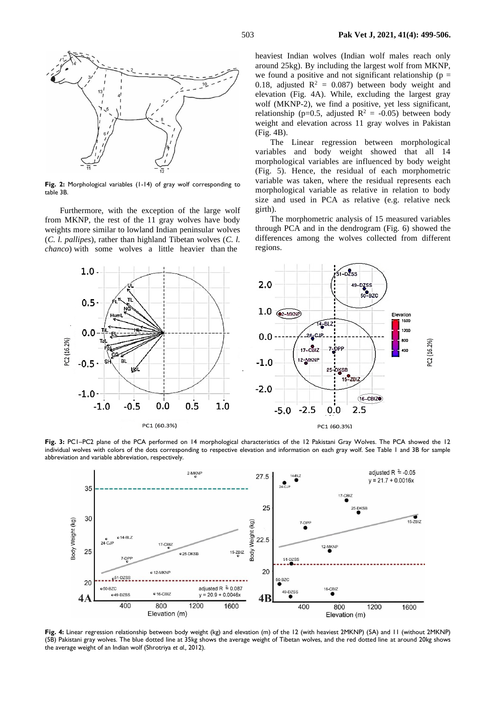

**Fig. 2:** Morphological variables (1-14) of gray wolf corresponding to table 3B.

Furthermore, with the exception of the large wolf from MKNP, the rest of the 11 gray wolves have body weights more similar to lowland Indian peninsular wolves (*C. l. pallipes*), rather than highland Tibetan wolves (*C. l. chanco*) with some wolves a little heavier than the

heaviest Indian wolves (Indian wolf males reach only around 25kg). By including the largest wolf from MKNP, we found a positive and not significant relationship ( $p =$ 0.18, adjusted  $R^2 = 0.087$ ) between body weight and elevation (Fig. 4A). While, excluding the largest gray wolf (MKNP-2), we find a positive, yet less significant, relationship (p=0.5, adjusted  $R^2 = -0.05$ ) between body weight and elevation across 11 gray wolves in Pakistan (Fig. 4B).

The Linear regression between morphological variables and body weight showed that all 14 morphological variables are influenced by body weight (Fig. 5). Hence, the residual of each morphometric variable was taken, where the residual represents each morphological variable as relative in relation to body size and used in PCA as relative (e.g. relative neck girth).

The morphometric analysis of 15 measured variables through PCA and in the dendrogram (Fig. 6) showed the differences among the wolves collected from different regions.



Fig. 3: PC1-PC2 plane of the PCA performed on 14 morphological characteristics of the 12 Pakistani Gray Wolves. The PCA showed the 12 individual wolves with colors of the dots corresponding to respective elevation and information on each gray wolf. See Table 1 and 3B for sample abbreviation and variable abbreviation, respectively.



**Fig. 4:** Linear regression relationship between body weight (kg) and elevation (m) of the 12 (with heaviest 2MKNP) (5A) and 11 (without 2MKNP) (5B) Pakistani gray wolves. The blue dotted line at 35kg shows the average weight of Tibetan wolves, and the red dotted line at around 20kg shows the average weight of an Indian wolf (Shrotriya *et al.,* 2012).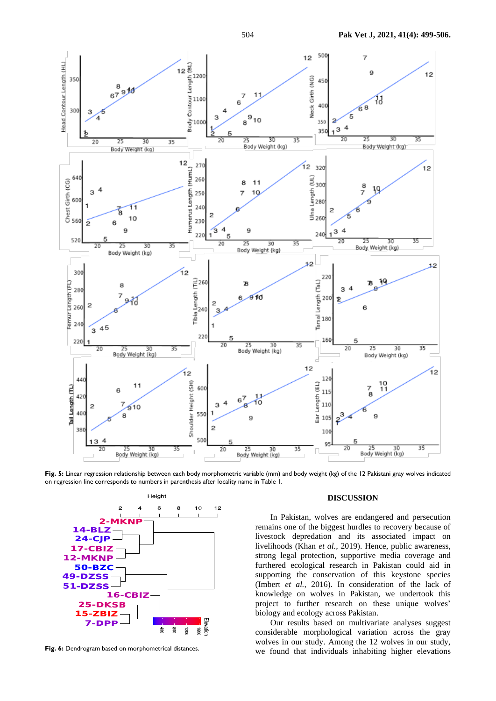

**Fig. 5:** Linear regression relationship between each body morphometric variable (mm) and body weight (kg) of the 12 Pakistani gray wolves indicated on regression line corresponds to numbers in parenthesis after locality name in Table 1.



Fig. 6: Dendrogram based on morphometrical distances.

#### **DISCUSSION**

In Pakistan, wolves are endangered and persecution remains one of the biggest hurdles to recovery because of livestock depredation and its associated impact on livelihoods (Khan *et al.,* 2019). Hence, public awareness, strong legal protection, supportive media coverage and furthered ecological research in Pakistan could aid in supporting the conservation of this keystone species (Imbert *et al.,* 2016). In consideration of the lack of knowledge on wolves in Pakistan, we undertook this project to further research on these unique wolves' biology and ecology across Pakistan.

Our results based on multivariate analyses suggest considerable morphological variation across the gray wolves in our study. Among the 12 wolves in our study, we found that individuals inhabiting higher elevations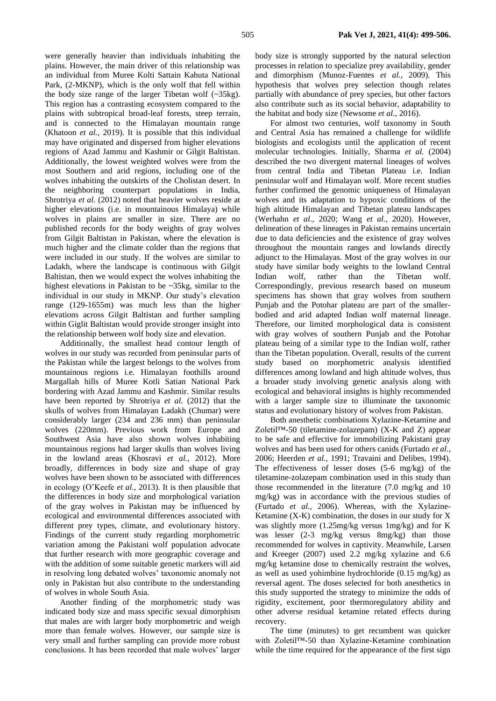were generally heavier than individuals inhabiting the plains. However, the main driver of this relationship was an individual from Muree Kolti Sattain Kahuta National Park, (2-MKNP), which is the only wolf that fell within the body size range of the larger Tibetan wolf  $(-35kg)$ . This region has a contrasting ecosystem compared to the plains with subtropical broad-leaf forests, steep terrain, and is connected to the Himalayan mountain range (Khatoon *et al.,* 2019). It is possible that this individual may have originated and dispersed from higher elevations regions of Azad Jammu and Kashmir or Gilgit Baltistan. Additionally, the lowest weighted wolves were from the most Southern and arid regions, including one of the wolves inhabiting the outskirts of the Cholistan desert. In the neighboring counterpart populations in India, Shrotriya *et al.* (2012) noted that heavier wolves reside at higher elevations (i.e. in mountainous Himalaya) while wolves in plains are smaller in size. There are no published records for the body weights of gray wolves from Gilgit Baltistan in Pakistan, where the elevation is much higher and the climate colder than the regions that were included in our study. If the wolves are similar to Ladakh, where the landscape is continuous with Gilgit Baltistan, then we would expect the wolves inhabiting the highest elevations in Pakistan to be ~35kg, similar to the individual in our study in MKNP. Our study's elevation range (129-1655m) was much less than the higher elevations across Gilgit Baltistan and further sampling within Giglit Baltistan would provide stronger insight into the relationship between wolf body size and elevation.

Additionally, the smallest head contour length of wolves in our study was recorded from peninsular parts of the Pakistan while the largest belongs to the wolves from mountainous regions i.e. Himalayan foothills around Margallah hills of Muree Kotli Satian National Park bordering with Azad Jammu and Kashmir. Similar results have been reported by Shrotriya *et al.* (2012) that the skulls of wolves from Himalayan Ladakh (Chumar) were considerably larger (234 and 236 mm) than peninsular wolves (220mm). Previous work from Europe and Southwest Asia have also shown wolves inhabiting mountainous regions had larger skulls than wolves living in the lowland areas (Khosravi *et al.,* 2012). More broadly, differences in body size and shape of gray wolves have been shown to be associated with differences in ecology (O'Keefe *et al.,* 2013). It is then plausible that the differences in body size and morphological variation of the gray wolves in Pakistan may be influenced by ecological and environmental differences associated with different prey types, climate, and evolutionary history. Findings of the current study regarding morphometric variation among the Pakistani wolf population advocate that further research with more geographic coverage and with the addition of some suitable genetic markers will aid in resolving long debated wolves' taxonomic anomaly not only in Pakistan but also contribute to the understanding of wolves in whole South Asia.

Another finding of the morphometric study was indicated body size and mass specific sexual dimorphism that males are with larger body morphometric and weigh more than female wolves. However, our sample size is very small and further sampling can provide more robust conclusions. It has been recorded that male wolves' larger body size is strongly supported by the natural selection processes in relation to specialize prey availability, gender and dimorphism (Munoz-Fuentes *et al.,* 2009). This hypothesis that wolves prey selection though relates partially with abundance of prey species, but other factors also contribute such as its social behavior, adaptability to the habitat and body size (Newsome *et al.,* 2016).

For almost two centuries, wolf taxonomy in South and Central Asia has remained a challenge for wildlife biologists and ecologists until the application of recent molecular technologies. Initially, Sharma *et al.* (2004) described the two divergent maternal lineages of wolves from central India and Tibetan Plateau i.e. Indian peninsular wolf and Himalayan wolf. More recent studies further confirmed the genomic uniqueness of Himalayan wolves and its adaptation to hypoxic conditions of the high altitude Himalayan and Tibetan plateau landscapes (Werhahn *et al.,* 2020; Wang *et al.,* 2020). However, delineation of these lineages in Pakistan remains uncertain due to data deficiencies and the existence of gray wolves throughout the mountain ranges and lowlands directly adjunct to the Himalayas. Most of the gray wolves in our study have similar body weights to the lowland Central Indian wolf, rather than the Tibetan wolf. Correspondingly, previous research based on museum specimens has shown that gray wolves from southern Punjab and the Potohar plateau are part of the smallerbodied and arid adapted Indian wolf maternal lineage. Therefore, our limited morphological data is consistent with gray wolves of southern Punjab and the Potohar plateau being of a similar type to the Indian wolf, rather than the Tibetan population. Overall, results of the current study based on morphometric analysis identified differences among lowland and high altitude wolves, thus a broader study involving genetic analysis along with ecological and behavioral insights is highly recommended with a larger sample size to illuminate the taxonomic status and evolutionary history of wolves from Pakistan.

Both anesthetic combinations Xylazine-Ketamine and Zoletil™-50 (tiletamine-zolazepam) (X-K and Z) appear to be safe and effective for immobilizing Pakistani gray wolves and has been used for others canids (Furtado *et al.,* 2006; Heerden *et al.,* 1991; Travaini and Delibes, 1994). The effectiveness of lesser doses (5-6 mg/kg) of the tiletamine-zolazepam combination used in this study than those recommended in the literature (7.0 mg/kg and 10 mg/kg) was in accordance with the previous studies of (Furtado *et al.,* 2006). Whereas, with the Xylazine-Ketamine  $(X-K)$  combination, the doses in our study for X was slightly more (1.25mg/kg versus 1mg/kg) and for K was lesser (2-3 mg/kg versus 8mg/kg) than those recommended for wolves in captivity. Meanwhile, Larsen and Kreeger (2007) used 2.2 mg/kg xylazine and 6.6 mg/kg ketamine dose to chemically restraint the wolves, as well as used yohimbine hydrochloride (0.15 mg/kg) as reversal agent. The doses selected for both anesthetics in this study supported the strategy to minimize the odds of rigidity, excitement, poor thermoregulatory ability and other adverse residual ketamine related effects during recovery.

The time (minutes) to get recumbent was quicker with Zoletil™-50 than Xylazine-Ketamine combination while the time required for the appearance of the first sign